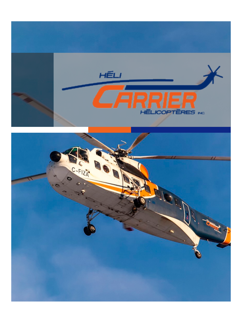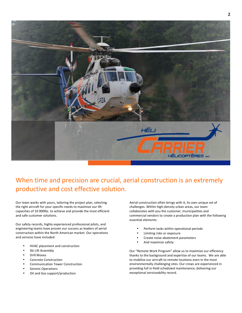

## When time and precision are crucial, aerial construction is an extremely productive and cost effective solution.

Our team works with yours, tailoring the project plan, selecting the right aircraft for your specific needs to maximize our lift capacities of 10 000lbs. to achieve and provide the most efficient and safe customer solutions.

Our safety records, highly experienced professional pilots, and engineering teams have proven our success as leaders of aerial construction within the North American market. Our operations and services have included:

- HVAC placement and construction
- Ski Lift Assembly
- Drill Moves
- Concrete Construction
- Communication Tower Construction
- Seismic Operations
- Oil and Gas support/production

Aerial construction often brings with it, its own unique set of challenges. Within high-density urban areas, our team collaborates with you the customer, municipalities and commercial vendors to create a production plan with the following essential elements:

- Perform tasks within operational periods
- Limiting risks or exposure
- Create noise abatement parameters
- And maximize safety

Our "Remote Work Program" allow us to maximize our efficiency thanks to the background and expertise of our teams. We are able to mobilize our aircraft to remote locations even in the most environmentally challenging sites. Our crews are experienced in providing full in-field scheduled maintenance, delivering our exceptional serviceability record.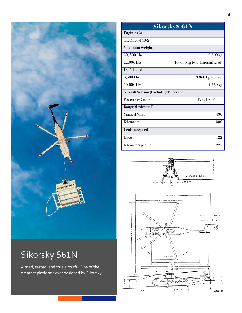

# Sikorsky S61N

A tried, tested, and true aircraft. One of the greatest platforms ever designed by Sikorsky.

| <b>Sikorsky S-61N</b>                      |                                |
|--------------------------------------------|--------------------------------|
| Engines (2)                                |                                |
| GE CT58-140-2                              |                                |
| Maximum Weight                             |                                |
| 20, 500 Lbs.                               | 9,300 kg                       |
| 22,000 Lbs.                                | 10,000 kg (with External Load) |
| <b>Useful</b> Load                         |                                |
| 8,500 Lbs.                                 | 3,860 kg Internal              |
| 10,000 Lbs.                                | $4,550 \,\mathrm{kg}$          |
| <b>Aircraft Seating (Excluding Pilots)</b> |                                |
| Passenger Configuration                    | $19(21 \text{ w/Pilots})$      |
| Range Maximum Fuel                         |                                |
| <b>Nautical Miles</b>                      | 430                            |
| Kilometers                                 | 800                            |
| <b>Cruising Speed</b>                      |                                |
| Knots                                      | 122                            |
| Kilometers per Hr.                         | 225                            |

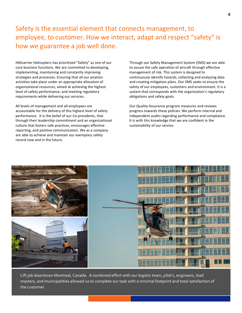Safety is the essential element that connects management, to employee, to customer. How we interact, adapt and respect "safety" is how we guarantee a job well done.

Hélicarrier Helicopters has prioritized "Safety" as one of our core business functions. We are committed to developing, implementing, maintaining and constantly improving strategies and processes. Ensuring that all our aviation activities take place under an appropriate allocation of organizational resources, aimed at achieving the highest level of safety performance, and meeting regulatory requirements while delivering our services.

All levels of management and all employees are accountable for the delivery of this highest level of safety performance. It is the belief of our Co-presidents, that through their leadership commitment and an organizational culture that fosters safe practices, encourages effective reporting, and positive communication. We as a company are able to achieve and maintain our exemplary safety record now and in the future.

Through our Safety Management System (SMS) we are able to assure the safe operation of aircraft through effective management of risk. This system is designed to continuously identify hazards, collecting and analyzing data and creating mitigation plans. Our SMS seeks to ensure the safety of our employees, customers and environment. It is a system that corresponds with the organization's regulatory obligations and safety goals.

Our Quality Assurance program measures and reviews progress towards these policies. We perform internal and independent audits regarding performance and compliance. It is with this knowledge that we are confident in the sustainability of our service.



Lift job downtown Montreal, Canada. A combined effort with our logistic team, pilot's, engineers, load masters, and municipalities allowed us to complete our task with a minimal footprint and total satisfaction of the customer.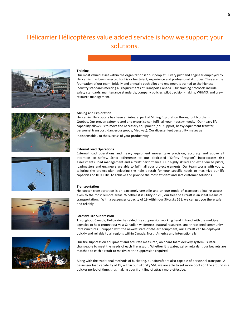## Hélicarrier Hélicoptères value added service is how we support your solutions.











## **Training**

Our most valued asset within the organization is "our people". Every pilot and engineer employed by Hélicarrier has been selected for his or her talent, experience and professional attitudes. They are the foundation of our team. Initially and annually each pilot and engineer, is trained to the highest industry standards meeting all requirements of Transport Canada. Our training protocols include safety standards, maintenance standards, company policies, pilot decision-making, WHMIS, and crew resource management.

## **Mining and Exploration**

Hélicarrier Helicopters has been an integral part of Mining Exploration throughout Northern Quebec. Our proven safety record and expertise can fulfill all your industry needs. Our heavy lift capability allows us to move the necessary equipment (drill support, heavy equipment transfer, personnel transport, dangerous goods, Medivac). Our diverse fleet versatility makes us indispensable, to the success of your productivity.

## **External Load Operations**

External load operations and heavy equipment moves take precision, accuracy and above all attention to safety. Strict adherence to our dedicated "Safety Program" incorporates risk assessments, load management and aircraft performance. Our highly skilled and experienced pilots, loadmasters and engineers are able to fulfill all your project elements. Our team works with yours, tailoring the project plan, selecting the right aircraft for your specific needs to maximize our lift capacities of 10 000lbs. to achieve and provide the most efficient and safe customer solutions.

### **Transportation**

Helicopter transportation is an extremely versatile and unique mode of transport allowing access even to the most remote areas. Whether it is utility or VIP, our fleet of aircraft is an ideal means of transportation. With a passenger capacity of 19 within our Sikorsky S61, we can get you there safe, and reliably.

### **Forestry Fire Suppression**

Throughout Canada, Hélicarrier has aided fire suppression working hand in hand with the multiple agencies to help protect our vast Canadian wilderness, natural resources, and threatened community infrastructures. Equipped with the newest state-of-the-art equipment, our aircraft can be deployed quickly and reliably to all regions within Canada, North America and Internationally.

Our fire suppression equipment and accurate measured, on board foam delivery system, is interchangeable to meet the needs of each fire assault. Whether it is water, gel or retardant our buckets are matched to each aircraft to maximize the suppression required.

Along with the traditional methods of bucketing, our aircraft are also capable of personnel transport. A passenger load capability of 19, within our Sikorsky S61, we are able to get more boots on the ground in a quicker period of time, thus making your front line of attack more effective.